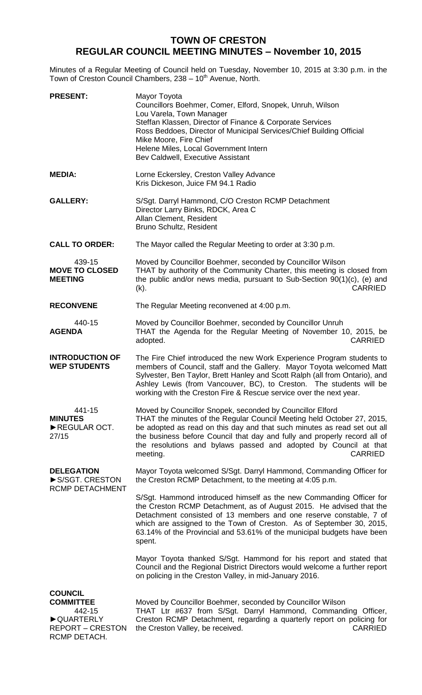## **TOWN OF CRESTON REGULAR COUNCIL MEETING MINUTES – November 10, 2015**

Minutes of a Regular Meeting of Council held on Tuesday, November 10, 2015 at 3:30 p.m. in the Town of Creston Council Chambers, 238 - 10<sup>th</sup> Avenue, North.

| <b>PRESENT:</b>                                                                           | Mayor Toyota<br>Councillors Boehmer, Comer, Elford, Snopek, Unruh, Wilson<br>Lou Varela, Town Manager<br>Steffan Klassen, Director of Finance & Corporate Services<br>Ross Beddoes, Director of Municipal Services/Chief Building Official<br>Mike Moore, Fire Chief<br>Helene Miles, Local Government Intern<br>Bev Caldwell, Executive Assistant                                             |
|-------------------------------------------------------------------------------------------|------------------------------------------------------------------------------------------------------------------------------------------------------------------------------------------------------------------------------------------------------------------------------------------------------------------------------------------------------------------------------------------------|
| <b>MEDIA:</b>                                                                             | Lorne Eckersley, Creston Valley Advance<br>Kris Dickeson, Juice FM 94.1 Radio                                                                                                                                                                                                                                                                                                                  |
| <b>GALLERY:</b>                                                                           | S/Sgt. Darryl Hammond, C/O Creston RCMP Detachment<br>Director Larry Binks, RDCK, Area C<br>Allan Clement, Resident<br>Bruno Schultz, Resident                                                                                                                                                                                                                                                 |
| <b>CALL TO ORDER:</b>                                                                     | The Mayor called the Regular Meeting to order at 3:30 p.m.                                                                                                                                                                                                                                                                                                                                     |
| 439-15<br><b>MOVE TO CLOSED</b><br><b>MEETING</b>                                         | Moved by Councillor Boehmer, seconded by Councillor Wilson<br>THAT by authority of the Community Charter, this meeting is closed from<br>the public and/or news media, pursuant to Sub-Section 90(1)(c), (e) and<br><b>CARRIED</b><br>$(k)$ .                                                                                                                                                  |
| <b>RECONVENE</b>                                                                          | The Regular Meeting reconvened at 4:00 p.m.                                                                                                                                                                                                                                                                                                                                                    |
| 440-15<br><b>AGENDA</b>                                                                   | Moved by Councillor Boehmer, seconded by Councillor Unruh<br>THAT the Agenda for the Regular Meeting of November 10, 2015, be<br><b>CARRIED</b><br>adopted.                                                                                                                                                                                                                                    |
| <b>INTRODUCTION OF</b><br><b>WEP STUDENTS</b>                                             | The Fire Chief introduced the new Work Experience Program students to<br>members of Council, staff and the Gallery. Mayor Toyota welcomed Matt<br>Sylvester, Ben Taylor, Brett Hanley and Scott Ralph (all from Ontario), and<br>Ashley Lewis (from Vancouver, BC), to Creston. The students will be<br>working with the Creston Fire & Rescue service over the next year.                     |
| 441-15<br><b>MINUTES</b><br>REGULAR OCT.<br>27/15                                         | Moved by Councillor Snopek, seconded by Councillor Elford<br>THAT the minutes of the Regular Council Meeting held October 27, 2015,<br>be adopted as read on this day and that such minutes as read set out all<br>the business before Council that day and fully and properly record all of<br>the resolutions and bylaws passed and adopted by Council at that<br><b>CARRIED</b><br>meeting. |
| <b>DELEGATION</b><br>S/SGT. CRESTON<br>RCMP DETACHMENT                                    | Mayor Toyota welcomed S/Sgt. Darryl Hammond, Commanding Officer for<br>the Creston RCMP Detachment, to the meeting at 4:05 p.m.                                                                                                                                                                                                                                                                |
|                                                                                           | S/Sgt. Hammond introduced himself as the new Commanding Officer for<br>the Creston RCMP Detachment, as of August 2015. He advised that the<br>Detachment consisted of 13 members and one reserve constable, 7 of<br>which are assigned to the Town of Creston. As of September 30, 2015,<br>63.14% of the Provincial and 53.61% of the municipal budgets have been<br>spent.                   |
|                                                                                           | Mayor Toyota thanked S/Sgt. Hammond for his report and stated that<br>Council and the Regional District Directors would welcome a further report<br>on policing in the Creston Valley, in mid-January 2016.                                                                                                                                                                                    |
| <b>COUNCIL</b>                                                                            |                                                                                                                                                                                                                                                                                                                                                                                                |
| <b>COMMITTEE</b><br>442-15<br><b>QUARTERLY</b><br><b>REPORT – CRESTON</b><br>RCMP DETACH. | Moved by Councillor Boehmer, seconded by Councillor Wilson<br>THAT Ltr #637 from S/Sgt. Darryl Hammond, Commanding Officer,<br>Creston RCMP Detachment, regarding a quarterly report on policing for<br>the Creston Valley, be received.<br><b>CARRIED</b>                                                                                                                                     |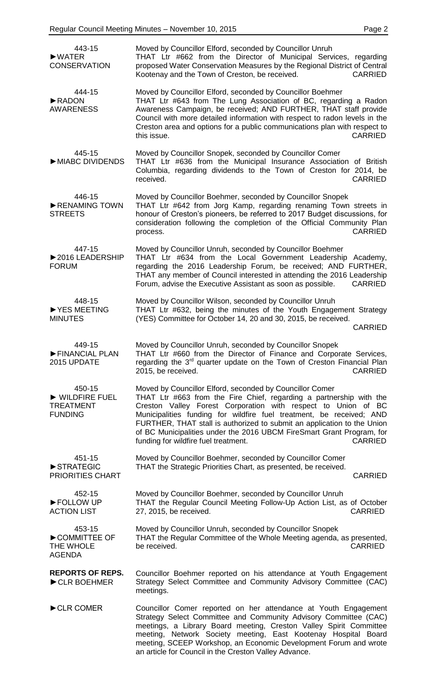| 443-15<br>$\blacktriangleright$ WATER<br><b>CONSERVATION</b>  | Moved by Councillor Elford, seconded by Councillor Unruh<br>THAT Ltr #662 from the Director of Municipal Services, regarding<br>proposed Water Conservation Measures by the Regional District of Central<br>Kootenay and the Town of Creston, be received.<br><b>CARRIED</b>                                                                                                                                                                                                           |
|---------------------------------------------------------------|----------------------------------------------------------------------------------------------------------------------------------------------------------------------------------------------------------------------------------------------------------------------------------------------------------------------------------------------------------------------------------------------------------------------------------------------------------------------------------------|
| 444-15<br>RADON<br><b>AWARENESS</b>                           | Moved by Councillor Elford, seconded by Councillor Boehmer<br>THAT Ltr #643 from The Lung Association of BC, regarding a Radon<br>Awareness Campaign, be received; AND FURTHER, THAT staff provide<br>Council with more detailed information with respect to radon levels in the<br>Creston area and options for a public communications plan with respect to<br>this issue.<br><b>CARRIED</b>                                                                                         |
| 445-15<br>MIABC DIVIDENDS                                     | Moved by Councillor Snopek, seconded by Councillor Comer<br>THAT Ltr #636 from the Municipal Insurance Association of British<br>Columbia, regarding dividends to the Town of Creston for 2014, be<br>received.<br><b>CARRIED</b>                                                                                                                                                                                                                                                      |
| 446-15<br>RENAMING TOWN<br><b>STREETS</b>                     | Moved by Councillor Boehmer, seconded by Councillor Snopek<br>THAT Ltr #642 from Jorg Kamp, regarding renaming Town streets in<br>honour of Creston's pioneers, be referred to 2017 Budget discussions, for<br>consideration following the completion of the Official Community Plan<br><b>CARRIED</b><br>process.                                                                                                                                                                     |
| 447-15<br>▶ 2016 LEADERSHIP<br><b>FORUM</b>                   | Moved by Councillor Unruh, seconded by Councillor Boehmer<br>THAT Ltr #634 from the Local Government Leadership Academy,<br>regarding the 2016 Leadership Forum, be received; AND FURTHER,<br>THAT any member of Council interested in attending the 2016 Leadership<br>Forum, advise the Executive Assistant as soon as possible.<br><b>CARRIED</b>                                                                                                                                   |
| 448-15<br>▶ YES MEETING<br><b>MINUTES</b>                     | Moved by Councillor Wilson, seconded by Councillor Unruh<br>THAT Ltr #632, being the minutes of the Youth Engagement Strategy<br>(YES) Committee for October 14, 20 and 30, 2015, be received.<br><b>CARRIED</b>                                                                                                                                                                                                                                                                       |
| 449-15<br>FINANCIAL PLAN<br>2015 UPDATE                       | Moved by Councillor Unruh, seconded by Councillor Snopek<br>THAT Ltr #660 from the Director of Finance and Corporate Services,<br>regarding the 3 <sup>rd</sup> quarter update on the Town of Creston Financial Plan<br>2015, be received.<br><b>CARRIED</b>                                                                                                                                                                                                                           |
| 450-15<br>WILDFIRE FUEL<br><b>TREATMENT</b><br><b>FUNDING</b> | Moved by Councillor Elford, seconded by Councillor Comer<br>THAT Ltr #663 from the Fire Chief, regarding a partnership with the<br>Creston Valley Forest Corporation with respect to Union of BC<br>Municipalities funding for wildfire fuel treatment, be received; AND<br>FURTHER, THAT stall is authorized to submit an application to the Union<br>of BC Municipalities under the 2016 UBCM FireSmart Grant Program, for<br>funding for wildfire fuel treatment.<br><b>CARRIED</b> |
| 451-15<br>STRATEGIC<br><b>PRIORITIES CHART</b>                | Moved by Councillor Boehmer, seconded by Councillor Comer<br>THAT the Strategic Priorities Chart, as presented, be received.<br><b>CARRIED</b>                                                                                                                                                                                                                                                                                                                                         |
| 452-15<br>FOLLOW UP<br><b>ACTION LIST</b>                     | Moved by Councillor Boehmer, seconded by Councillor Unruh<br>THAT the Regular Council Meeting Follow-Up Action List, as of October<br>27, 2015, be received.<br><b>CARRIED</b>                                                                                                                                                                                                                                                                                                         |
| 453-15<br>COMMITTEE OF<br>THE WHOLE<br><b>AGENDA</b>          | Moved by Councillor Unruh, seconded by Councillor Snopek<br>THAT the Regular Committee of the Whole Meeting agenda, as presented,<br>be received.<br><b>CARRIED</b>                                                                                                                                                                                                                                                                                                                    |
| <b>REPORTS OF REPS.</b><br>CLR BOEHMER                        | Councillor Boehmer reported on his attendance at Youth Engagement<br>Strategy Select Committee and Community Advisory Committee (CAC)<br>meetings.                                                                                                                                                                                                                                                                                                                                     |
| CLR COMER                                                     | Councillor Comer reported on her attendance at Youth Engagement<br>Strategy Select Committee and Community Advisory Committee (CAC)<br>meetings, a Library Board meeting, Creston Valley Spirit Committee<br>meeting, Network Society meeting, East Kootenay Hospital Board<br>meeting, SCEEP Workshop, an Economic Development Forum and wrote<br>an article for Council in the Creston Valley Advance.                                                                               |